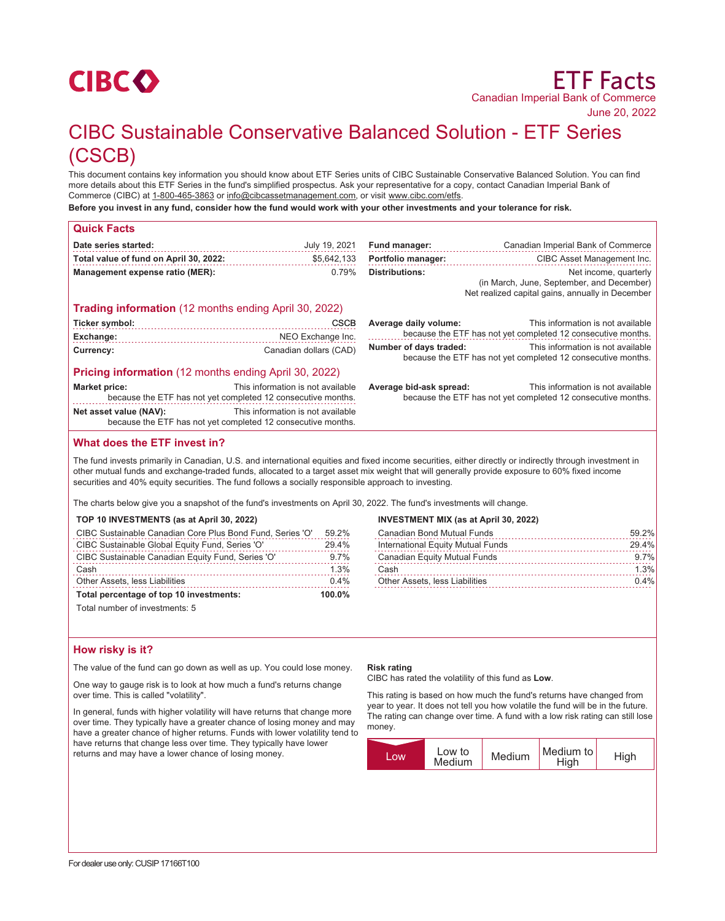

# CIBC Sustainable Conservative Balanced Solution - ETF Series (CSCB)

This document contains key information you should know about ETF Series units of CIBC Sustainable Conservative Balanced Solution. You can find more details about this ETF Series in the fund's simplified prospectus. Ask your representative for a copy, contact Canadian Imperial Bank of Commerce (CIBC) at 1-800-465-3863 or info@cibcassetmanagement.com, or visit www.cibc.com/etfs.

**Before you invest in any fund, consider how the fund would work with your other investments and your tolerance for risk.**

| <b>Quick Facts</b>                     |                                                                                                   |                                                                                                                             |                                                                                                                        |
|----------------------------------------|---------------------------------------------------------------------------------------------------|-----------------------------------------------------------------------------------------------------------------------------|------------------------------------------------------------------------------------------------------------------------|
| Date series started:                   | July 19, 2021                                                                                     | Fund manager:                                                                                                               | Canadian Imperial Bank of Commerce                                                                                     |
| Total value of fund on April 30, 2022: | \$5,642,133                                                                                       | <b>Portfolio manager:</b>                                                                                                   | CIBC Asset Management Inc.                                                                                             |
| Management expense ratio (MER):        | 0.79%                                                                                             | <b>Distributions:</b>                                                                                                       | Net income, quarterly<br>(in March, June, September, and December)<br>Net realized capital gains, annually in December |
|                                        | <b>Trading information</b> (12 months ending April 30, 2022)                                      |                                                                                                                             |                                                                                                                        |
| Ticker symbol:                         | <b>CSCB</b>                                                                                       | Average daily volume:                                                                                                       | This information is not available                                                                                      |
| Exchange:                              | NEO Exchange Inc.                                                                                 | because the ETF has not yet completed 12 consecutive months.                                                                |                                                                                                                        |
| Currency:                              | Canadian dollars (CAD)                                                                            | This information is not available<br>Number of days traded:<br>because the ETF has not yet completed 12 consecutive months. |                                                                                                                        |
|                                        | <b>Pricing information</b> (12 months ending April 30, 2022)                                      |                                                                                                                             |                                                                                                                        |
| <b>Market price:</b>                   | This information is not available<br>because the ETF has not yet completed 12 consecutive months. | Average bid-ask spread:                                                                                                     | This information is not available<br>because the ETF has not yet completed 12 consecutive months.                      |
| Net asset value (NAV):                 | This information is not available<br>because the ETF has not yet completed 12 consecutive months. |                                                                                                                             |                                                                                                                        |
|                                        |                                                                                                   |                                                                                                                             |                                                                                                                        |

# **What does the ETF invest in?**

The fund invests primarily in Canadian, U.S. and international equities and fixed income securities, either directly or indirectly through investment in other mutual funds and exchange-traded funds, allocated to a target asset mix weight that will generally provide exposure to 60% fixed income securities and 40% equity securities. The fund follows a socially responsible approach to investing.

The charts below give you a snapshot of the fund's investments on April 30, 2022. The fund's investments will change.

## **TOP 10 INVESTMENTS (as at April 30, 2022)**

| CIBC Sustainable Canadian Core Plus Bond Fund, Series 'O' |           |
|-----------------------------------------------------------|-----------|
| CIBC Sustainable Global Equity Fund, Series 'O'           | 29.4%     |
| CIBC Sustainable Canadian Equity Fund, Series 'O'         | 9.7%      |
| Cash                                                      | 1.3%      |
| Other Assets, less Liabilities                            | 0.4%      |
| Total percentage of top 10 investments:                   | $100.0\%$ |

Total number of investments: 5

# **How risky is it?**

The value of the fund can go down as well as up. You could lose money.

One way to gauge risk is to look at how much a fund's returns change over time. This is called "volatility".

In general, funds with higher volatility will have returns that change more over time. They typically have a greater chance of losing money and may have a greater chance of higher returns. Funds with lower volatility tend to have returns that change less over time. They typically have lower returns and may have a lower chance of losing money.

## **Risk rating**

CIBC has rated the volatility of this fund as **Low**.

**INVESTMENT MIX (as at April 30, 2022)**

This rating is based on how much the fund's returns have changed from year to year. It does not tell you how volatile the fund will be in the future. The rating can change over time. A fund with a low risk rating can still lose money.

Canadian Bond Mutual Funds 59.2% International Equity Mutual Funds 29.4% Canadian Equity Mutual Funds 9.7% Cash 1.3% 1.3% Other Assets, less Liabilities 0.4%

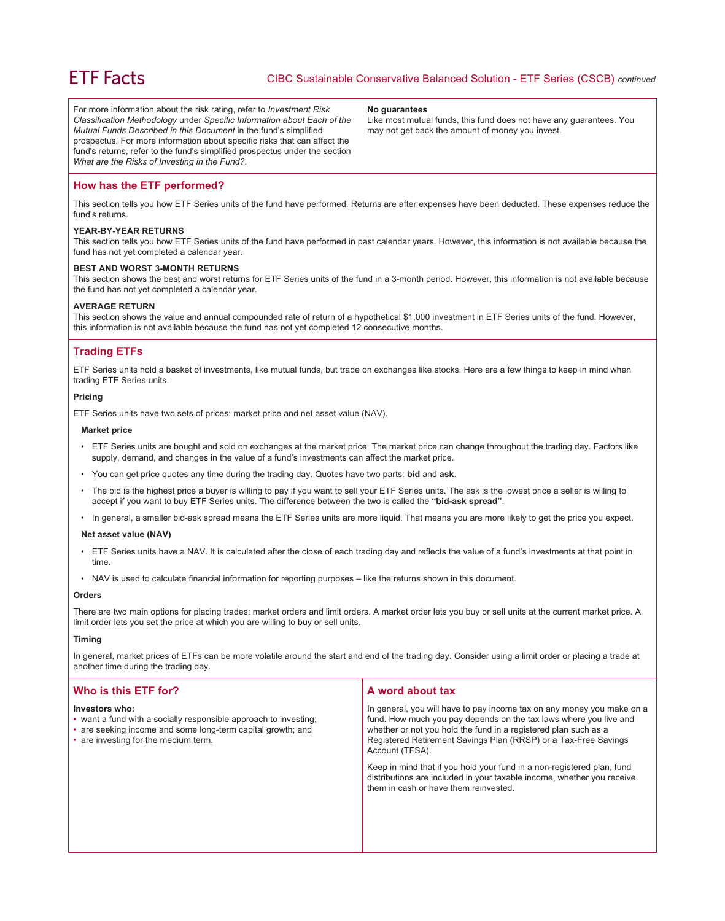For more information about the risk rating, refer to *Investment Risk Classification Methodology* under *Specific Information about Each of the Mutual Funds Described in this Document* in the fund's simplified prospectus. For more information about specific risks that can affect the fund's returns, refer to the fund's simplified prospectus under the section *What are the Risks of Investing in the Fund?*.

#### **No guarantees**

Like most mutual funds, this fund does not have any guarantees. You may not get back the amount of money you invest.

## **How has the ETF performed?**

This section tells you how ETF Series units of the fund have performed. Returns are after expenses have been deducted. These expenses reduce the fund's returns.

## **YEAR-BY-YEAR RETURNS**

This section tells you how ETF Series units of the fund have performed in past calendar years. However, this information is not available because the fund has not yet completed a calendar year.

## **BEST AND WORST 3-MONTH RETURNS**

This section shows the best and worst returns for ETF Series units of the fund in a 3-month period. However, this information is not available because the fund has not yet completed a calendar year.

## **AVERAGE RETURN**

This section shows the value and annual compounded rate of return of a hypothetical \$1,000 investment in ETF Series units of the fund. However, this information is not available because the fund has not yet completed 12 consecutive months.

## **Trading ETFs**

ETF Series units hold a basket of investments, like mutual funds, but trade on exchanges like stocks. Here are a few things to keep in mind when trading ETF Series units:

## **Pricing**

ETF Series units have two sets of prices: market price and net asset value (NAV).

#### **Market price**

- ETF Series units are bought and sold on exchanges at the market price. The market price can change throughout the trading day. Factors like supply, demand, and changes in the value of a fund's investments can affect the market price.
- You can get price quotes any time during the trading day. Quotes have two parts: **bid** and **ask**.
- The bid is the highest price a buyer is willing to pay if you want to sell your ETF Series units. The ask is the lowest price a seller is willing to accept if you want to buy ETF Series units. The difference between the two is called the **"bid-ask spread"**.
- In general, a smaller bid-ask spread means the ETF Series units are more liquid. That means you are more likely to get the price you expect.

## **Net asset value (NAV)**

- ETF Series units have a NAV. It is calculated after the close of each trading day and reflects the value of a fund's investments at that point in time.
- NAV is used to calculate financial information for reporting purposes like the returns shown in this document.

#### **Orders**

There are two main options for placing trades: market orders and limit orders. A market order lets you buy or sell units at the current market price. A limit order lets you set the price at which you are willing to buy or sell units.

#### **Timing**

In general, market prices of ETFs can be more volatile around the start and end of the trading day. Consider using a limit order or placing a trade at another time during the trading day.

| Who is this ETF for?                                                                                                                                                                      | A word about tax                                                                                                                                                                                                                                                                                     |
|-------------------------------------------------------------------------------------------------------------------------------------------------------------------------------------------|------------------------------------------------------------------------------------------------------------------------------------------------------------------------------------------------------------------------------------------------------------------------------------------------------|
| Investors who:<br>• want a fund with a socially responsible approach to investing;<br>• are seeking income and some long-term capital growth; and<br>• are investing for the medium term. | In general, you will have to pay income tax on any money you make on a<br>fund. How much you pay depends on the tax laws where you live and<br>whether or not you hold the fund in a registered plan such as a<br>Registered Retirement Savings Plan (RRSP) or a Tax-Free Savings<br>Account (TFSA). |
|                                                                                                                                                                                           | Keep in mind that if you hold your fund in a non-registered plan, fund<br>distributions are included in your taxable income, whether you receive<br>them in cash or have them reinvested.                                                                                                            |